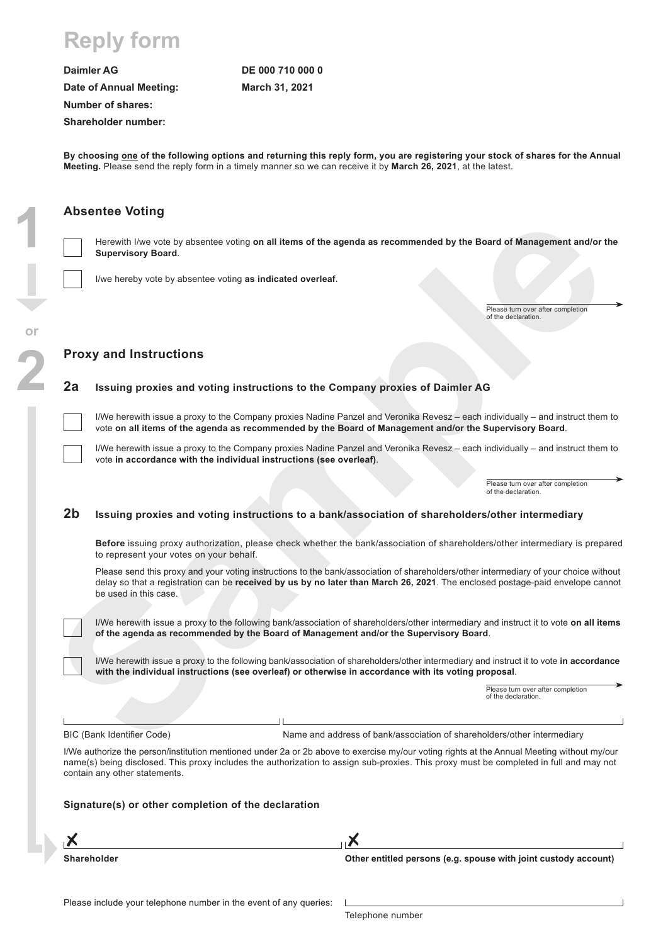## **Reply form**

**Daimler AG Date of Annual Meeting:** Number of shares: Shareholder number:

**DE 000 710 000 0 March 31, 2021**

**By choosing one of the following options and returning this reply form, you are registering your stock of shares for the Annual Meeting.** Please send the reply form in a timely manner so we can receive it by **March 26, 2021**, at the latest.

## **Absentee Voting**

**1**

**2**

**or**

Herewith I/we vote by absentee voting **on all items of the agenda as recommended by the Board of Management and/or the Supervisory Board**.

I/we hereby vote by absentee voting **as indicated overleaf**.

Please turn over after completion of the declaration.

### **Proxy and Instructions**

### **2a Issuing proxies and voting instructions to the Company proxies of Daimler AG**

I/We herewith issue a proxy to the Company proxies Nadine Panzel and Veronika Revesz – each individually – and instruct them to vote **on all items of the agenda as recommended by the Board of Management and/or the Supervisory Board**.

I/We herewith issue a proxy to the Company proxies Nadine Panzel and Veronika Revesz – each individually – and instruct them to vote **in accordance with the individual instructions (see overleaf)**.

> Please turn over after completion of the declaration.

## **2b Issuing proxies and voting instructions to a bank/association of shareholders/other intermediary**

**Before** issuing proxy authorization, please check whether the bank/association of shareholders/other intermediary is prepared to represent your votes on your behalf.

**Solutionary** Control Control of the spendal as recommended by the Board of Management and/or the Supervisory Board<br>
Supervisory Solutions Control of the Company provide a Control of the Company Control of the New York Co Please send this proxy and your voting instructions to the bank/association of shareholders/other intermediary of your choice without delay so that a registration can be **received by us by no later than March 26, 2021**. The enclosed postage-paid envelope cannot be used in this case.

I/We herewith issue a proxy to the following bank/association of shareholders/other intermediary and instruct it to vote **on all items of the agenda as recommended by the Board of Management and/or the Supervisory Board**.

I/We herewith issue a proxy to the following bank/association of shareholders/other intermediary and instruct it to vote **in accordance with the individual instructions (see overleaf) or otherwise in accordance with its voting proposal**.

> Please turn over after completion of the declaration.

BIC (Bank Identifier Code) Name and address of bank/association of shareholders/other intermediary

I/We authorize the person/institution mentioned under 2a or 2b above to exercise my/our voting rights at the Annual Meeting without my/our name(s) being disclosed. This proxy includes the authorization to assign sub-proxies. This proxy must be completed in full and may not contain any other statements.

Х

### **Signature(s) or other completion of the declaration**

| Shareholder |  |
|-------------|--|

**Other entitled persons (e.g. spouse with joint custody account)**